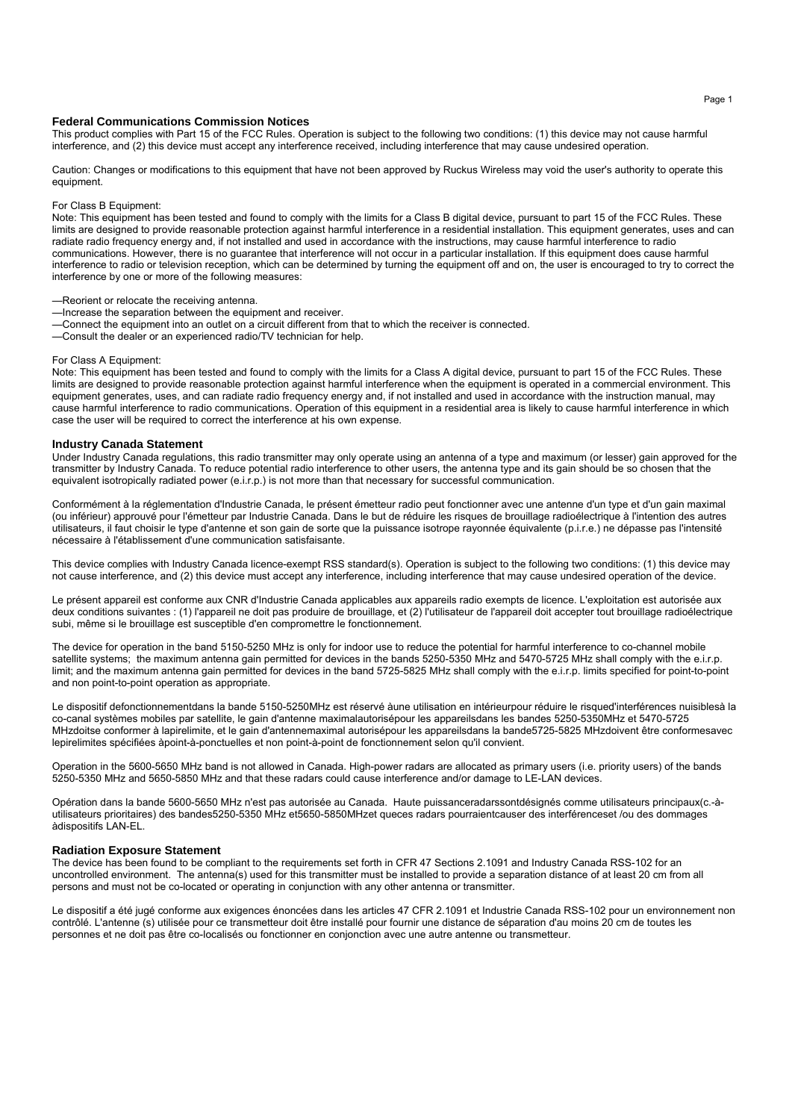#### **Federal Communications Commission Notices**

This product complies with Part 15 of the FCC Rules. Operation is subject to the following two conditions: (1) this device may not cause harmful interference, and (2) this device must accept any interference received, including interference that may cause undesired operation.

Caution: Changes or modifications to this equipment that have not been approved by Ruckus Wireless may void the user's authority to operate this equipment.

#### For Class B Equipment:

Note: This equipment has been tested and found to comply with the limits for a Class B digital device, pursuant to part 15 of the FCC Rules. These limits are designed to provide reasonable protection against harmful interference in a residential installation. This equipment generates, uses and can radiate radio frequency energy and, if not installed and used in accordance with the instructions, may cause harmful interference to radio communications. However, there is no guarantee that interference will not occur in a particular installation. If this equipment does cause harmful interference to radio or television reception, which can be determined by turning the equipment off and on, the user is encouraged to try to correct the interference by one or more of the following measures:

- —Reorient or relocate the receiving antenna.
- —Increase the separation between the equipment and receiver.
- —Connect the equipment into an outlet on a circuit different from that to which the receiver is connected.
- —Consult the dealer or an experienced radio/TV technician for help.

# For Class A Equipment:

Note: This equipment has been tested and found to comply with the limits for a Class A digital device, pursuant to part 15 of the FCC Rules. These limits are designed to provide reasonable protection against harmful interference when the equipment is operated in a commercial environment. This equipment generates, uses, and can radiate radio frequency energy and, if not installed and used in accordance with the instruction manual, may cause harmful interference to radio communications. Operation of this equipment in a residential area is likely to cause harmful interference in which case the user will be required to correct the interference at his own expense.

## **Industry Canada Statement**

Under Industry Canada regulations, this radio transmitter may only operate using an antenna of a type and maximum (or lesser) gain approved for the transmitter by Industry Canada. To reduce potential radio interference to other users, the antenna type and its gain should be so chosen that the equivalent isotropically radiated power (e.i.r.p.) is not more than that necessary for successful communication.

Conformément à la réglementation d'Industrie Canada, le présent émetteur radio peut fonctionner avec une antenne d'un type et d'un gain maximal (ou inférieur) approuvé pour l'émetteur par Industrie Canada. Dans le but de réduire les risques de brouillage radioélectrique à l'intention des autres utilisateurs, il faut choisir le type d'antenne et son gain de sorte que la puissance isotrope rayonnée équivalente (p.i.r.e.) ne dépasse pas l'intensité nécessaire à l'établissement d'une communication satisfaisante.

This device complies with Industry Canada licence-exempt RSS standard(s). Operation is subject to the following two conditions: (1) this device may not cause interference, and (2) this device must accept any interference, including interference that may cause undesired operation of the device.

Le présent appareil est conforme aux CNR d'Industrie Canada applicables aux appareils radio exempts de licence. L'exploitation est autorisée aux deux conditions suivantes : (1) l'appareil ne doit pas produire de brouillage, et (2) l'utilisateur de l'appareil doit accepter tout brouillage radioélectrique subi, même si le brouillage est susceptible d'en compromettre le fonctionnement.

The device for operation in the band 5150-5250 MHz is only for indoor use to reduce the potential for harmful interference to co-channel mobile satellite systems; the maximum antenna gain permitted for devices in the bands 5250-5350 MHz and 5470-5725 MHz shall comply with the e.i.r.p. limit; and the maximum antenna gain permitted for devices in the band 5725-5825 MHz shall comply with the e.i.r.p. limits specified for point-to-point and non point-to-point operation as appropriate.

Le dispositif defonctionnementdans la bande 5150-5250MHz est réservé àune utilisation en intérieurpour réduire le risqued'interférences nuisiblesà la co-canal systèmes mobiles par satellite, le gain d'antenne maximalautorisépour les appareilsdans les bandes 5250-5350MHz et 5470-5725 MHzdoitse conformer à lapirelimite, et le gain d'antennemaximal autorisépour les appareilsdans la bande5725-5825 MHzdoivent être conformesavec lepirelimites spécifiées àpoint-à-ponctuelles et non point-à-point de fonctionnement selon qu'il convient.

Operation in the 5600-5650 MHz band is not allowed in Canada. High-power radars are allocated as primary users (i.e. priority users) of the bands 5250-5350 MHz and 5650-5850 MHz and that these radars could cause interference and/or damage to LE-LAN devices.

Opération dans la bande 5600-5650 MHz n'est pas autorisée au Canada. Haute puissanceradarssontdésignés comme utilisateurs principaux(c.-àutilisateurs prioritaires) des bandes5250-5350 MHz et5650-5850MHzet queces radars pourraientcauser des interférenceset /ou des dommages àdispositifs LAN-EL.

## **Radiation Exposure Statement**

The device has been found to be compliant to the requirements set forth in CFR 47 Sections 2.1091 and Industry Canada RSS-102 for an uncontrolled environment. The antenna(s) used for this transmitter must be installed to provide a separation distance of at least 20 cm from all persons and must not be co-located or operating in conjunction with any other antenna or transmitter.

Le dispositif a été jugé conforme aux exigences énoncées dans les articles 47 CFR 2.1091 et Industrie Canada RSS-102 pour un environnement non contrôlé. L'antenne (s) utilisée pour ce transmetteur doit être installé pour fournir une distance de séparation d'au moins 20 cm de toutes les personnes et ne doit pas être co-localisés ou fonctionner en conjonction avec une autre antenne ou transmetteur.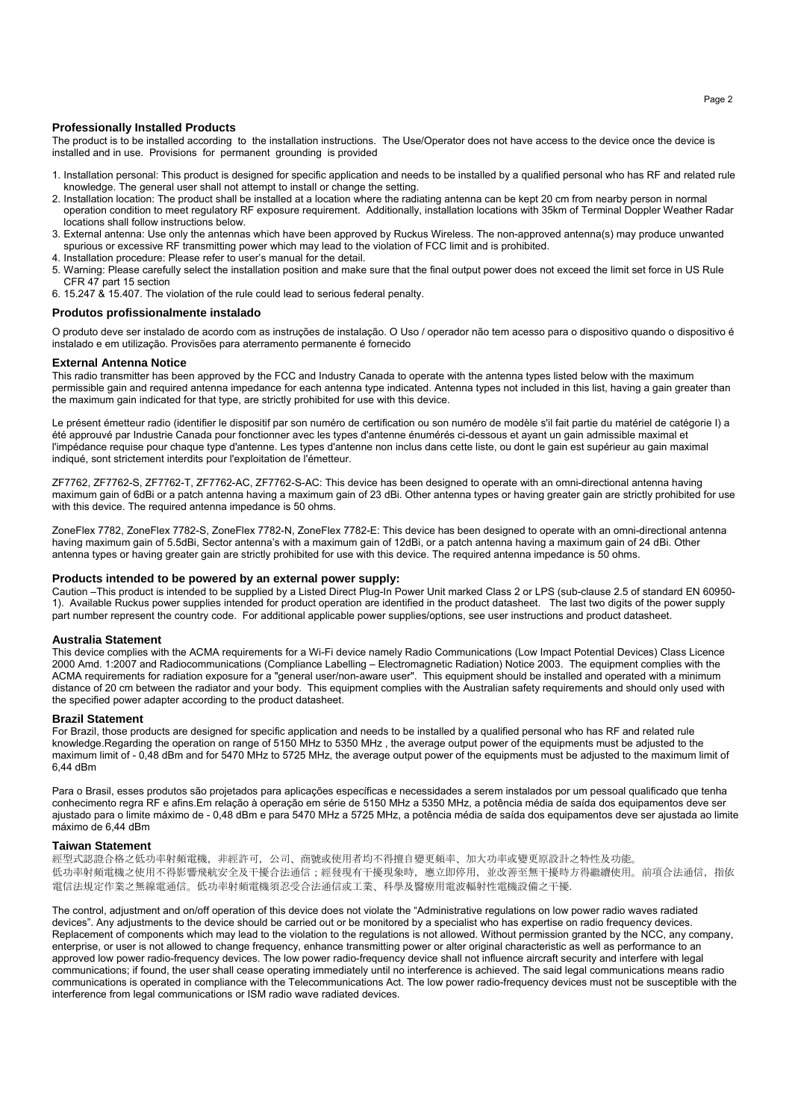# **Professionally Installed Products**

The product is to be installed according to the installation instructions. The Use/Operator does not have access to the device once the device is installed and in use. Provisions for permanent grounding is provided

- 1. Installation personal: This product is designed for specific application and needs to be installed by a qualified personal who has RF and related rule knowledge. The general user shall not attempt to install or change the setting.
- 2. Installation location: The product shall be installed at a location where the radiating antenna can be kept 20 cm from nearby person in normal operation condition to meet regulatory RF exposure requirement. Additionally, installation locations with 35km of Terminal Doppler Weather Radar locations shall follow instructions below.
- 3. External antenna: Use only the antennas which have been approved by Ruckus Wireless. The non-approved antenna(s) may produce unwanted spurious or excessive RF transmitting power which may lead to the violation of FCC limit and is prohibited.
- 4. Installation procedure: Please refer to user's manual for the detail.
- 5. Warning: Please carefully select the installation position and make sure that the final output power does not exceed the limit set force in US Rule CFR 47 part 15 section
- 6. 15.247 & 15.407. The violation of the rule could lead to serious federal penalty.

## **Produtos profissionalmente instalado**

O produto deve ser instalado de acordo com as instruções de instalação. O Uso / operador não tem acesso para o dispositivo quando o dispositivo é instalado e em utilização. Provisões para aterramento permanente é fornecido

## **External Antenna Notice**

This radio transmitter has been approved by the FCC and Industry Canada to operate with the antenna types listed below with the maximum permissible gain and required antenna impedance for each antenna type indicated. Antenna types not included in this list, having a gain greater than the maximum gain indicated for that type, are strictly prohibited for use with this device.

Le présent émetteur radio (identifier le dispositif par son numéro de certification ou son numéro de modèle s'il fait partie du matériel de catégorie I) a été approuvé par Industrie Canada pour fonctionner avec les types d'antenne énumérés ci-dessous et ayant un gain admissible maximal et l'impédance requise pour chaque type d'antenne. Les types d'antenne non inclus dans cette liste, ou dont le gain est supérieur au gain maximal indiqué, sont strictement interdits pour l'exploitation de l'émetteur.

ZF7762, ZF7762-S, ZF7762-T, ZF7762-AC, ZF7762-S-AC: This device has been designed to operate with an omni-directional antenna having maximum gain of 6dBi or a patch antenna having a maximum gain of 23 dBi. Other antenna types or having greater gain are strictly prohibited for use with this device. The required antenna impedance is 50 ohms.

ZoneFlex 7782, ZoneFlex 7782-S, ZoneFlex 7782-N, ZoneFlex 7782-E: This device has been designed to operate with an omni-directional antenna having maximum gain of 5.5dBi, Sector antenna's with a maximum gain of 12dBi, or a patch antenna having a maximum gain of 24 dBi. Other antenna types or having greater gain are strictly prohibited for use with this device. The required antenna impedance is 50 ohms.

#### **Products intended to be powered by an external power supply:**

Caution –This product is intended to be supplied by a Listed Direct Plug-In Power Unit marked Class 2 or LPS (sub-clause 2.5 of standard EN 60950- 1). Available Ruckus power supplies intended for product operation are identified in the product datasheet. The last two digits of the power supply part number represent the country code. For additional applicable power supplies/options, see user instructions and product datasheet.

## **Australia Statement**

This device complies with the ACMA requirements for a Wi-Fi device namely Radio Communications (Low Impact Potential Devices) Class Licence 2000 Amd. 1:2007 and Radiocommunications (Compliance Labelling – Electromagnetic Radiation) Notice 2003. The equipment complies with the ACMA requirements for radiation exposure for a "general user/non-aware user". This equipment should be installed and operated with a minimum distance of 20 cm between the radiator and your body. This equipment complies with the Australian safety requirements and should only used with the specified power adapter according to the product datasheet.

## **Brazil Statement**

For Brazil, those products are designed for specific application and needs to be installed by a qualified personal who has RF and related rule knowledge.Regarding the operation on range of 5150 MHz to 5350 MHz , the average output power of the equipments must be adjusted to the maximum limit of - 0,48 dBm and for 5470 MHz to 5725 MHz, the average output power of the equipments must be adjusted to the maximum limit of 6,44 dBm

Para o Brasil, esses produtos são projetados para aplicações específicas e necessidades a serem instalados por um pessoal qualificado que tenha conhecimento regra RF e afins.Em relação à operação em série de 5150 MHz a 5350 MHz, a potência média de saída dos equipamentos deve ser ajustado para o limite máximo de - 0,48 dBm e para 5470 MHz a 5725 MHz, a potência média de saída dos equipamentos deve ser ajustada ao limite máximo de 6,44 dBm

#### **Taiwan Statement**

經型式認證合格之低功率射頻電機,非經許可,公司、商號或使用者均不得擅自變更頻率、加大功率或變更原設計之特性及功能。 低功率射頻電機之使用不得影響飛航安全及干擾合法通信;經發現有干擾現象時,應立即停用,並改善至無干擾時方得繼續使用。前項合法通信,指依 電信法規定作業之無線電通信。低功率射頻電機須忍受合法通信或工業、科學及醫療用電波輻射性電機設備之干擾.

The control, adjustment and on/off operation of this device does not violate the "Administrative regulations on low power radio waves radiated devices". Any adjustments to the device should be carried out or be monitored by a specialist who has expertise on radio frequency devices. Replacement of components which may lead to the violation to the regulations is not allowed. Without permission granted by the NCC, any company, enterprise, or user is not allowed to change frequency, enhance transmitting power or alter original characteristic as well as performance to an approved low power radio-frequency devices. The low power radio-frequency device shall not influence aircraft security and interfere with legal communications; if found, the user shall cease operating immediately until no interference is achieved. The said legal communications means radio communications is operated in compliance with the Telecommunications Act. The low power radio-frequency devices must not be susceptible with the interference from legal communications or ISM radio wave radiated devices.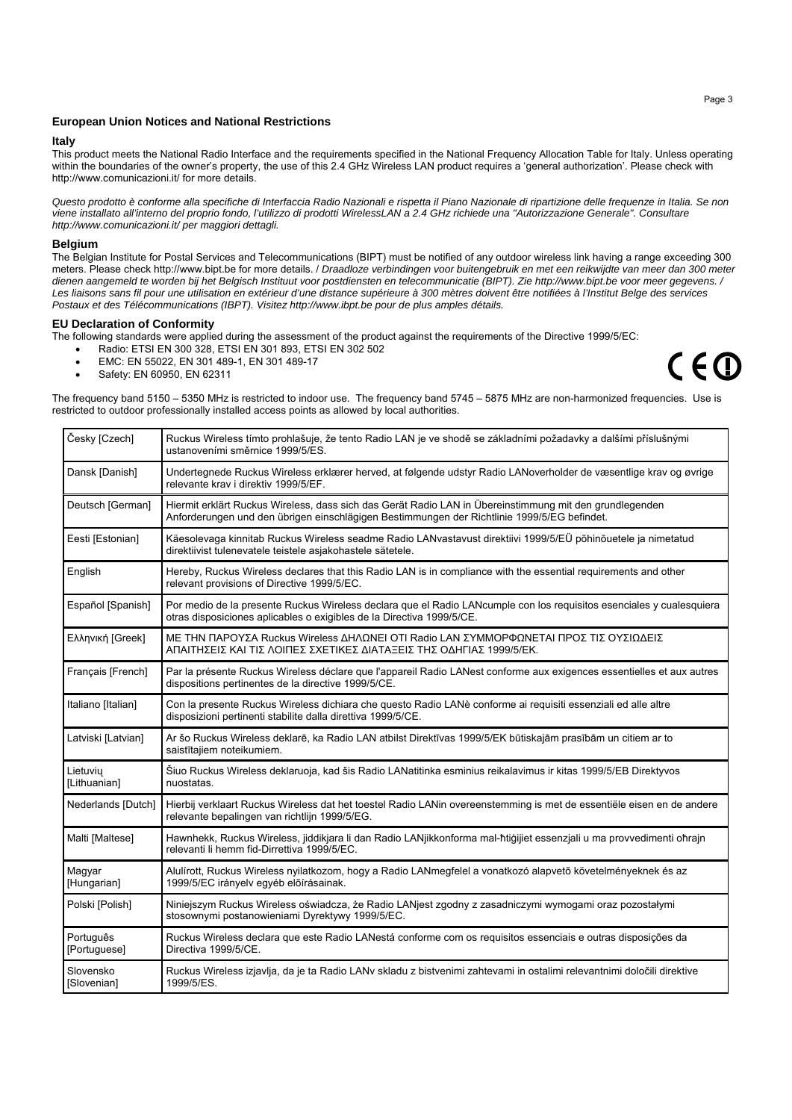## **European Union Notices and National Restrictions**

#### **Italy**

This product meets the National Radio Interface and the requirements specified in the National Frequency Allocation Table for Italy. Unless operating within the boundaries of the owner's property, the use of this 2.4 GHz Wireless LAN product requires a 'general authorization'. Please check with http://www.comunicazioni.it/ for more details.

*Questo prodotto è conforme alla specifiche di Interfaccia Radio Nazionali e rispetta il Piano Nazionale di ripartizione delle frequenze in Italia. Se non viene installato all'interno del proprio fondo, l'utilizzo di prodotti WirelessLAN a 2.4 GHz richiede una "Autorizzazione Generale". Consultare http://www.comunicazioni.it/ per maggiori dettagli.* 

#### **Belgium**

The Belgian Institute for Postal Services and Telecommunications (BIPT) must be notified of any outdoor wireless link having a range exceeding 300 meters. Please check http://www.bipt.be for more details. / *Draadloze verbindingen voor buitengebruik en met een reikwijdte van meer dan 300 meter dienen aangemeld te worden bij het Belgisch Instituut voor postdiensten en telecommunicatie (BIPT). Zie http://www.bipt.be voor meer gegevens. / Les liaisons sans fil pour une utilisation en extérieur d'une distance supérieure à 300 mètres doivent être notifiées à l'Institut Belge des services Postaux et des Télécommunications (IBPT). Visitez http://www.ibpt.be pour de plus amples détails.* 

#### **EU Declaration of Conformity**

The following standards were applied during the assessment of the product against the requirements of the Directive 1999/5/EC:

- Radio: ETSI EN 300 328, ETSI EN 301 893, ETSI EN 302 502
- EMC: EN 55022, EN 301 489-1, EN 301 489-17
- Safety: EN 60950, EN 62311

The frequency band 5150 – 5350 MHz is restricted to indoor use. The frequency band 5745 – 5875 MHz are non-harmonized frequencies. Use is restricted to outdoor professionally installed access points as allowed by local authorities.

| Česky [Czech]             | Ruckus Wireless tímto prohlašuje, že tento Radio LAN je ve shodě se základními požadavky a dalšími příslušnými<br>ustanoveními směrnice 1999/5/ES.                                                     |
|---------------------------|--------------------------------------------------------------------------------------------------------------------------------------------------------------------------------------------------------|
| Dansk [Danish]            | Undertegnede Ruckus Wireless erklærer herved, at følgende udstyr Radio LANoverholder de væsentlige krav og øvrige<br>relevante krav i direktiv 1999/5/EF.                                              |
| Deutsch [German]          | Hiermit erklärt Ruckus Wireless, dass sich das Gerät Radio LAN in Übereinstimmung mit den grundlegenden<br>Anforderungen und den übrigen einschlägigen Bestimmungen der Richtlinie 1999/5/EG befindet. |
| Eesti [Estonian]          | Käesolevaga kinnitab Ruckus Wireless seadme Radio LANvastavust direktiivi 1999/5/EÜ põhinõuetele ja nimetatud<br>direktiivist tulenevatele teistele asjakohastele sätetele.                            |
| English                   | Hereby, Ruckus Wireless declares that this Radio LAN is in compliance with the essential requirements and other<br>relevant provisions of Directive 1999/5/EC.                                         |
| Español [Spanish]         | Por medio de la presente Ruckus Wireless declara que el Radio LANcumple con los requisitos esenciales y cualesquiera<br>otras disposiciones aplicables o exigibles de la Directiva 1999/5/CE.          |
| Ελληνική [Greek]          | ΜΕ ΤΗΝ ΠΑΡΟΥΣΑ Ruckus Wireless ΔΗΛΩΝΕΙ ΟΤΙ Radio LAN ΣΥΜΜΟΡΦΩΝΕΤΑΙ ΠΡΟΣ ΤΙΣ ΟΥΣΙΩΔΕΙΣ<br>ΑΠΑΙΤΗΣΕΙΣ ΚΑΙ ΤΙΣ ΛΟΙΠΕΣ ΣΧΕΤΙΚΕΣ ΔΙΑΤΑΞΕΙΣ ΤΗΣ ΟΔΗΓΙΑΣ 1999/5/ΕΚ.                                           |
| Français [French]         | Par la présente Ruckus Wireless déclare que l'appareil Radio LANest conforme aux exigences essentielles et aux autres<br>dispositions pertinentes de la directive 1999/5/CE.                           |
| Italiano [Italian]        | Con la presente Ruckus Wireless dichiara che questo Radio LANè conforme ai requisiti essenziali ed alle altre<br>disposizioni pertinenti stabilite dalla direttiva 1999/5/CE.                          |
| Latviski [Latvian]        | Ar šo Ruckus Wireless deklarē, ka Radio LAN atbilst Direktīvas 1999/5/EK būtiskajām prasībām un citiem ar to<br>saistītajiem noteikumiem.                                                              |
| Lietuviu<br>[Lithuanian]  | Šiuo Ruckus Wireless deklaruoja, kad šis Radio LANatitinka esminius reikalavimus ir kitas 1999/5/EB Direktyvos<br>nuostatas.                                                                           |
| Nederlands [Dutch]        | Hierbij verklaart Ruckus Wireless dat het toestel Radio LANin overeenstemming is met de essentiële eisen en de andere<br>relevante bepalingen van richtlijn 1999/5/EG.                                 |
| Malti [Maltese]           | Hawnhekk, Ruckus Wireless, jiddikjara li dan Radio LANjikkonforma mal-ħtiģijiet essenzjali u ma provvedimenti oħrajn<br>relevanti li hemm fid-Dirrettiva 1999/5/EC.                                    |
| Magyar<br>[Hungarian]     | Alulírott, Ruckus Wireless nyilatkozom, hogy a Radio LANmegfelel a vonatkozó alapvető követelményeknek és az<br>1999/5/EC irányelv egyéb előírásainak.                                                 |
| Polski [Polish]           | Niniejszym Ruckus Wireless oświadcza, że Radio LANjest zgodny z zasadniczymi wymogami oraz pozostałymi<br>stosownymi postanowieniami Dyrektywy 1999/5/EC.                                              |
| Português<br>[Portuguese] | Ruckus Wireless declara que este Radio LANestá conforme com os requisitos essenciais e outras disposições da<br>Directiva 1999/5/CE.                                                                   |
| Slovensko<br>[Slovenian]  | Ruckus Wireless izjavlja, da je ta Radio LANv skladu z bistvenimi zahtevami in ostalimi relevantnimi določili direktive<br>1999/5/ES.                                                                  |

 $C \in \mathbb{O}$